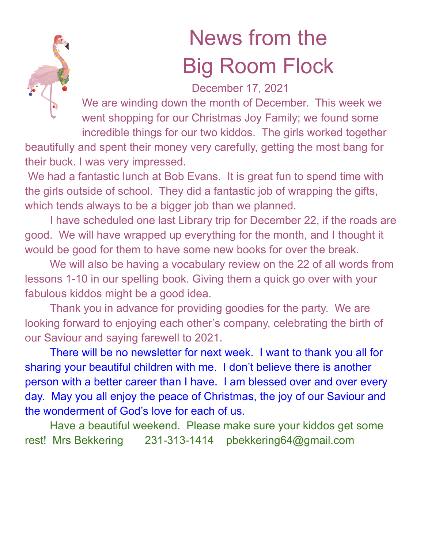

## News from the Big Room Flock

## December 17, 2021

We are winding down the month of December. This week we went shopping for our Christmas Joy Family; we found some incredible things for our two kiddos. The girls worked together

beautifully and spent their money very carefully, getting the most bang for their buck. I was very impressed.

We had a fantastic lunch at Bob Evans. It is great fun to spend time with the girls outside of school. They did a fantastic job of wrapping the gifts, which tends always to be a bigger job than we planned.

I have scheduled one last Library trip for December 22, if the roads are good. We will have wrapped up everything for the month, and I thought it would be good for them to have some new books for over the break.

We will also be having a vocabulary review on the 22 of all words from lessons 1-10 in our spelling book. Giving them a quick go over with your fabulous kiddos might be a good idea.

Thank you in advance for providing goodies for the party. We are looking forward to enjoying each other's company, celebrating the birth of our Saviour and saying farewell to 2021.

There will be no newsletter for next week. I want to thank you all for sharing your beautiful children with me. I don't believe there is another person with a better career than I have. I am blessed over and over every day. May you all enjoy the peace of Christmas, the joy of our Saviour and the wonderment of God's love for each of us.

Have a beautiful weekend. Please make sure your kiddos get some rest! Mrs Bekkering 231-313-1414 pbekkering64@gmail.com